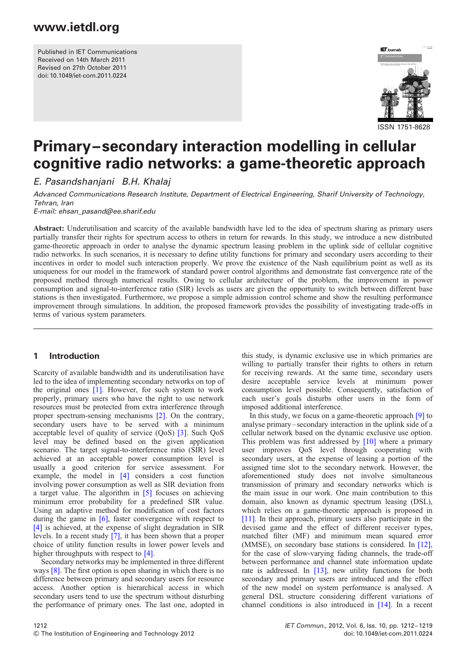Published in IET Communications Received on 14th March 2011 Revised on 27th October 2011 doi: 10.1049/iet-com.2011.0224



# Primary –secondary interaction modelling in cellular cognitive radio networks: a game-theoretic approach

E. Pasandshanjani B.H. Khalaj

Advanced Communications Research Institute, Department of Electrical Engineering, Sharif University of Technology, Tehran, Iran

E-mail: ehsan\_pasand@ee.sharif.edu

Abstract: Underutilisation and scarcity of the available bandwidth have led to the idea of spectrum sharing as primary users partially transfer their rights for spectrum access to others in return for rewards. In this study, we introduce a new distributed game-theoretic approach in order to analyse the dynamic spectrum leasing problem in the uplink side of cellular cognitive radio networks. In such scenarios, it is necessary to define utility functions for primary and secondary users according to their incentives in order to model such interaction properly. We prove the existence of the Nash equilibrium point as well as its uniqueness for our model in the framework of standard power control algorithms and demonstrate fast convergence rate of the proposed method through numerical results. Owing to cellular architecture of the problem, the improvement in power consumption and signal-to-interference ratio (SIR) levels as users are given the opportunity to switch between different base stations is then investigated. Furthermore, we propose a simple admission control scheme and show the resulting performance improvement through simulations. In addition, the proposed framework provides the possibility of investigating trade-offs in terms of various system parameters.

## 1 Introduction

Scarcity of available bandwidth and its underutilisation have led to the idea of implementing secondary networks on top of the original ones [1]. However, for such system to work properly, primary users who have the right to use network resources must be protected from extra interference through proper spectrum-sensing mechanisms [2]. On the contrary, secondary users have to be served with a minimum acceptable level of quality of service (QoS) [3]. Such QoS level may be defined based on the given application scenario. The target signal-to-interference ratio (SIR) level achieved at an acceptable power consumption level is usually a good criterion for service assessment. For example, the model in [4] considers a cost function involving power consumption as well as SIR deviation from a target value. The algorithm in [5] focuses on achieving minimum error probability for a predefined SIR value. Using an adaptive method for modification of cost factors during the game in [6], faster convergence with respect to [4] is achieved, at the expense of slight degradation in SIR levels. In a recent study [7], it has been shown that a proper choice of utility function results in lower power levels and higher throughputs with respect to [4].

Secondary networks may be implemented in three different ways [8]. The first option is open sharing in which there is no difference between primary and secondary users for resource access. Another option is hierarchical access in which secondary users tend to use the spectrum without disturbing the performance of primary ones. The last one, adopted in this study, is dynamic exclusive use in which primaries are willing to partially transfer their rights to others in return for receiving rewards. At the same time, secondary users desire acceptable service levels at minimum power consumption level possible. Consequently, satisfaction of each user's goals disturbs other users in the form of imposed additional interference.

In this study, we focus on a game-theoretic approach [9] to analyse primary – secondary interaction in the uplink side of a cellular network based on the dynamic exclusive use option. This problem was first addressed by [10] where a primary user improves QoS level through cooperating with secondary users, at the expense of leasing a portion of the assigned time slot to the secondary network. However, the aforementioned study does not involve simultaneous transmission of primary and secondary networks which is the main issue in our work. One main contribution to this domain, also known as dynamic spectrum leasing (DSL), which relies on a game-theoretic approach is proposed in [11]. In their approach, primary users also participate in the devised game and the effect of different receiver types, matched filter (MF) and minimum mean squared error (MMSE), on secondary base stations is considered. In [12], for the case of slow-varying fading channels, the trade-off between performance and channel state information update rate is addressed. In [13], new utility functions for both secondary and primary users are introduced and the effect of the new model on system performance is analysed. A general DSL structure considering different variations of channel conditions is also introduced in [14]. In a recent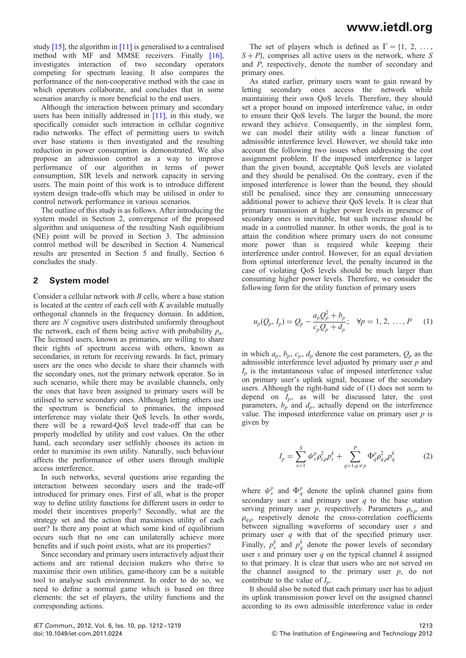study [15], the algorithm in [11] is generalised to a centralised method with MF and MMSE receivers. Finally [16], investigates interaction of two secondary operators competing for spectrum leasing. It also compares the performance of the non-cooperative method with the case in which operators collaborate, and concludes that in some scenarios anarchy is more beneficial to the end users.

Although the interaction between primary and secondary users has been initially addressed in  $[11]$ , in this study, we specifically consider such interaction in cellular cognitive radio networks. The effect of permitting users to switch over base stations is then investigated and the resulting reduction in power consumption is demonstrated. We also propose an admission control as a way to improve performance of our algorithm in terms of power consumption, SIR levels and network capacity in serving users. The main point of this work is to introduce different system design trade-offs which may be utilised in order to control network performance in various scenarios.

The outline of this study is as follows. After introducing the system model in Section 2, convergence of the proposed algorithm and uniqueness of the resulting Nash equilibrium (NE) point will be proved in Section 3. The admission control method will be described in Section 4. Numerical results are presented in Section 5 and finally, Section 6 concludes the study.

# 2 System model

Consider a cellular network with  $B$  cells, where a base station is located at the centre of each cell with  $K$  available mutually orthogonal channels in the frequency domain. In addition, there are N cognitive users distributed uniformly throughout the network, each of them being active with probability  $p_a$ . The licensed users, known as primaries, are willing to share their rights of spectrum access with others, known as secondaries, in return for receiving rewards. In fact, primary users are the ones who decide to share their channels with the secondary ones, not the primary network operator. So in such scenario, while there may be available channels, only the ones that have been assigned to primary users will be utilised to serve secondary ones. Although letting others use the spectrum is beneficial to primaries, the imposed interference may violate their QoS levels. In other words, there will be a reward-QoS level trade-off that can be properly modelled by utility and cost values. On the other hand, each secondary user selfishly chooses its action in order to maximise its own utility. Naturally, such behaviour affects the performance of other users through multiple access interference.

In such networks, several questions arise regarding the interaction between secondary users and the trade-off introduced for primary ones. First of all, what is the proper way to define utility functions for different users in order to model their incentives properly? Secondly, what are the strategy set and the action that maximises utility of each user? Is there any point at which some kind of equilibrium occurs such that no one can unilaterally achieve more benefits and if such point exists, what are its properties?

Since secondary and primary users interactively adjust their actions and are rational decision makers who thrive to maximise their own utilities, game-theory can be a suitable tool to analyse such environment. In order to do so, we need to define a normal game which is based on three elements: the set of players, the utility functions and the corresponding actions.

As stated earlier, primary users want to gain reward by letting secondary ones access the network while maintaining their own QoS levels. Therefore, they should set a proper bound on imposed interference value, in order to ensure their QoS levels. The larger the bound, the more reward they achieve. Consequently, in the simplest form, we can model their utility with a linear function of admissible interference level. However, we should take into account the following two issues when addressing the cost assignment problem. If the imposed interference is larger than the given bound, acceptable QoS levels are violated and they should be penalised. On the contrary, even if the imposed interference is lower than the bound, they should still be penalised, since they are consuming unnecessary additional power to achieve their QoS levels. It is clear that primary transmission at higher power levels in presence of secondary ones is inevitable, but such increase should be made in a controlled manner. In other words, the goal is to attain the condition where primary users do not consume more power than is required while keeping their interference under control. However, for an equal deviation from optimal interference level, the penalty incurred in the case of violating QoS levels should be much larger than consuming higher power levels. Therefore, we consider the following form for the utility function of primary users

$$
u_p(Q_p, I_p) = Q_p - \frac{a_p Q_p^2 + b_p}{c_p Q_p + d_p}; \quad \forall p = 1, 2, ..., P \quad (1)
$$

in which  $a_p$ ,  $b_p$ ,  $c_p$ ,  $d_p$  denote the cost parameters,  $Q_p$  as the admissible interference level adjusted by primary user  $p$  and  $I_p$  is the instantaneous value of imposed interference value on primary user's uplink signal, because of the secondary users. Although the right-hand side of (1) does not seem to depend on  $I_p$ , as will be discussed later, the cost parameters,  $b_p$  and  $d_p$ , actually depend on the interference value. The imposed interference value on primary user  $p$  is given by

$$
I_p = \sum_{s=1}^{S} \psi_s^p \rho_{s,p}^2 p_s^k + \sum_{q=1, q \neq p}^{P} \Phi_q^p \rho_{q,p}^2 p_q^k \tag{2}
$$

where  $\psi_s^p$  and  $\Phi_q^p$  denote the uplink channel gains from secondary user  $s$  and primary user  $q$  to the base station serving primary user  $p$ , respectively. Parameters  $\rho_{s,p}$  and  $\rho_{q,p}$  respetively denote the cross-correlation coefficients between signalling waveforms of secondary user s and primary user  $q$  with that of the specified primary user. Finally,  $p_s^k$  and  $p_q^k$  denote the power levels of secondary user s and primary user  $q$  on the typical channel  $k$  assigned to that primary. It is clear that users who are not served on the channel assigned to the primary user  $p$ , do not contribute to the value of  $I_p$ .

It should also be noted that each primary user has to adjust its uplink transmission power level on the assigned channel according to its own admissible interference value in order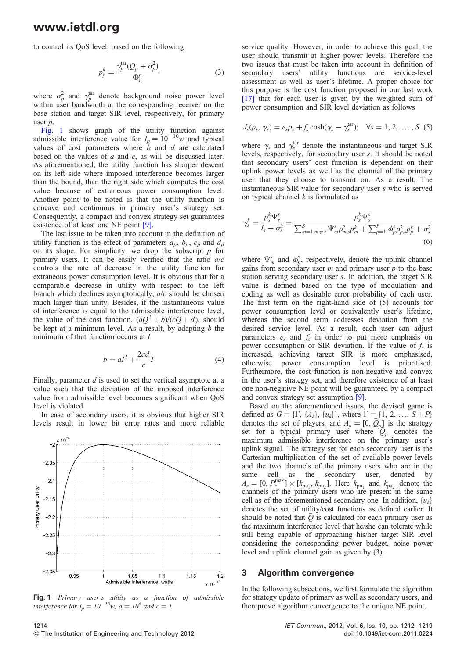to control its QoS level, based on the following

$$
p_p^k = \frac{\gamma_p^{\text{tar}}(Q_p + \sigma_p^2)}{\Phi_p^p} \tag{3}
$$

where  $\sigma_p^2$  and  $\gamma_p^{\text{tar}}$  denote background noise power level within user bandwidth at the corresponding receiver on the base station and target SIR level, respectively, for primary user p.

Fig. 1 shows graph of the utility function against admissible interference value for  $I_p = 10^{-10}w$  and typical values of cost parameters where  $\overrightarrow{b}$  and  $\overrightarrow{d}$  are calculated based on the values of  $a$  and  $c$ , as will be discussed later. As aforementioned, the utility function has sharper descent on its left side where imposed interference becomes larger than the bound, than the right side which computes the cost value because of extraneous power consumption level. Another point to be noted is that the utility function is concave and continuous in primary user's strategy set. Consequently, a compact and convex strategy set guarantees existence of at least one NE point [9].

The last issue to be taken into account in the definition of utility function is the effect of parameters  $a_p$ ,  $b_p$ ,  $c_p$  and  $d_p$ on its shape. For simplicity, we drop the subscript  $p$  for primary users. It can be easily verified that the ratio  $a/c$ controls the rate of decrease in the utility function for extraneous power consumption level. It is obvious that for a comparable decrease in utility with respect to the left branch which declines asymptotically,  $a/c$  should be chosen much larger than unity. Besides, if the instantaneous value of interference is equal to the admissible interference level, the value of the cost function,  $(aQ^2 + b)/(cQ + d)$ , should be kept at a minimum level. As a result, by adapting  $b$  the minimum of that function occurs at I

$$
b = aI^2 + \frac{2ad}{c}I\tag{4}
$$

Finally, parameter  $d$  is used to set the vertical asymptote at a value such that the deviation of the imposed interference value from admissible level becomes significant when QoS level is violated.

In case of secondary users, it is obvious that higher SIR levels result in lower bit error rates and more reliable



Fig. 1 Primary user's utility as a function of admissible interference for  $I_p = 10^{-10}w$ ,  $a = 10^6$  and  $c = 1$ 

service quality. However, in order to achieve this goal, the user should transmit at higher power levels. Therefore the two issues that must be taken into account in definition of secondary users' utility functions are service-level assessment as well as user's lifetime. A proper choice for this purpose is the cost function proposed in our last work [17] that for each user is given by the weighted sum of power consumption and SIR level deviation as follows

$$
J_s(p_s, \gamma_s) = e_s p_s + f_s \cosh(\gamma_s - \gamma_s^{\text{tar}}); \quad \forall s = 1, 2, \ldots, S \tag{5}
$$

where  $\gamma_s$  and  $\gamma_s^{\text{tar}}$  denote the instantaneous and target SIR levels, respectively, for secondary user s. It should be noted that secondary users' cost function is dependent on their uplink power levels as well as the channel of the primary user that they choose to transmit on. As a result, The instantaneous SIR value for secondary user s who is served on typical channel  $k$  is formulated as

$$
\gamma_s^k = \frac{p_s^k \Psi_s^s}{I_s + \sigma_s^2} = \frac{p_s^k \Psi_s^s}{\sum_{m=1, m \neq s}^S \Psi_m^s \rho_{m,s}^2 p_m^k + \sum_{p=1}^P \phi_p^s \rho_{p,s}^2 p_p^k + \sigma_s^2}
$$
(6)

where  $\Psi_m^s$  and  $\phi_p^s$ , respectively, denote the uplink channel gains from secondary user  $m$  and primary user  $p$  to the base station serving secondary user s. In addition, the target SIR value is defined based on the type of modulation and coding as well as desirable error probability of each user. The first term on the right-hand side of (5) accounts for power consumption level or equivalently user's lifetime, whereas the second term addresses deviation from the desired service level. As a result, each user can adjust parameters  $e_s$  and  $f_s$  in order to put more emphasis on power consumption or SIR deviation. If the value of  $f_s$  is increased, achieving target SIR is more emphasised, otherwise power consumption level is prioritised. Furthermore, the cost function is non-negative and convex in the user's strategy set, and therefore existence of at least one non-negative NE point will be guaranteed by a compact and convex strategy set assumption [9].

Based on the aforementioned issues, the devised game is defined as  $G = \{\Gamma, \{A_k\}, \{u_k\}\}\$ , where  $\Gamma = \{1, 2, ..., S + P\}$ denotes the set of players, and  $A_p = [0, \overline{Q_p}]$  is the strategy set for a typical primary user where  $Q_p$  denotes the maximum admissible interference on the primary user's uplink signal. The strategy set for each secondary user is the Cartesian multiplication of the set of available power levels and the two channels of the primary users who are in the same cell as the secondary user, denoted by  $A_s = [0, P_s^{\text{max}}] \times [k_{\text{pu}_1}, k_{\text{pu}_2}]$ . Here  $k_{\text{pu}_1}$  and  $k_{\text{pu}_2}$  denote the channels of the primary users who are present in the same cell as of the aforementioned secondary one. In addition,  $\{u_k\}$ denotes the set of utility/cost functions as defined earlier. It should be noted that  $\overline{Q}$  is calculated for each primary user as the maximum interference level that he/she can tolerate while still being capable of approaching his/her target SIR level considering the corresponding power budget, noise power level and uplink channel gain as given by (3).

#### 3 Algorithm convergence

In the following subsections, we first formulate the algorithm for strategy update of primary as well as secondary users, and then prove algorithm convergence to the unique NE point.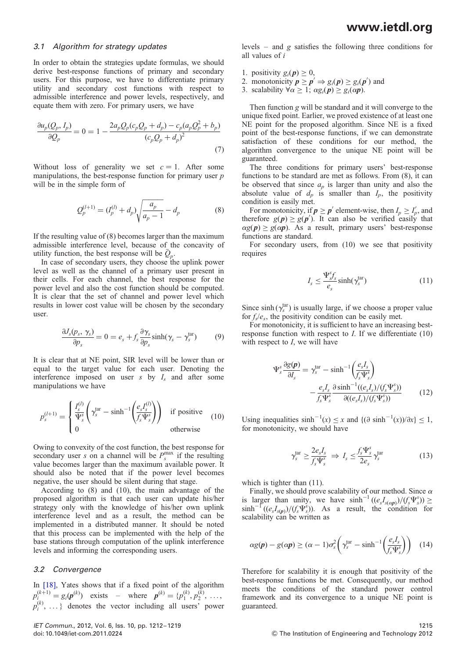#### 3.1 Algorithm for strategy updates

In order to obtain the strategies update formulas, we should derive best-response functions of primary and secondary users. For this purpose, we have to differentiate primary utility and secondary cost functions with respect to admissible interference and power levels, respectively, and equate them with zero. For primary users, we have

$$
\frac{\partial u_p(Q_p, I_p)}{\partial Q_p} = 0 = 1 - \frac{2a_p Q_p(c_p Q_p + d_p) - c_p(a_p Q_p^2 + b_p)}{(c_p Q_p + d_p)^2}
$$
\n(7)

Without loss of generality we set  $c = 1$ . After some manipulations, the best-response function for primary user  $p$ will be in the simple form of

$$
Q_p^{(l+1)} = (I_p^{(l)} + d_p) \sqrt{\frac{a_p}{a_p - 1}} - d_p \tag{8}
$$

If the resulting value of (8) becomes larger than the maximum admissible interference level, because of the concavity of utility function, the best response will be  $\overline{Q}_p$ .

In case of secondary users, they choose the uplink power level as well as the channel of a primary user present in their cells. For each channel, the best response for the power level and also the cost function should be computed. It is clear that the set of channel and power level which results in lower cost value will be chosen by the secondary user.

$$
\frac{\partial J_s(p_s, \gamma_s)}{\partial p_s} = 0 = e_s + f_s \frac{\partial \gamma_s}{\partial p_s} \sinh(\gamma_s - \gamma_s^{\text{tar}})
$$
(9)

It is clear that at NE point, SIR level will be lower than or equal to the target value for each user. Denoting the interference imposed on user  $s$  by  $I_s$  and after some manipulations we have

$$
p_s^{(l+1)} = \begin{cases} \frac{I_s^{(l)}}{\Psi_s^s} \left( \gamma_s^{\text{tar}} - \sinh^{-1} \left( \frac{e_s I_s^{(l)}}{f_s \Psi_s^s} \right) \right) & \text{if positive} \\ 0 & \text{otherwise} \end{cases}
$$
(10)

Owing to convexity of the cost function, the best response for secondary user s on a channel will be  $P_s^{\text{max}}$  if the resulting value becomes larger than the maximum available power. It should also be noted that if the power level becomes negative, the user should be silent during that stage.

According to (8) and (10), the main advantage of the proposed algorithm is that each user can update his/her strategy only with the knowledge of his/her own uplink interference level and as a result, the method can be implemented in a distributed manner. It should be noted that this process can be implemented with the help of the base stations through computation of the uplink interference levels and informing the corresponding users.

#### 3.2 Convergence

In [18], Yates shows that if a fixed point of the algorithm  $p_{i}^{(k+1)} = g_i(\boldsymbol{p}^{(k)})$  exists – where  $\boldsymbol{p}^{(k)} = \{p_1^{(k)}, p_2^{(k)}, \dots, p_k^{(k)}\}$  $p_i^{(k)}, \ldots$ } denotes the vector including all users' power

levels – and g satisfies the following three conditions for all values of i

- 1. positivity  $g_i(p) \geq 0$ ,
- 2. monotonicity  $p \ge p' \Rightarrow g_i(p) \ge g_i(p')$  and
- 3. scalability  $\forall \alpha \geq 1$ ;  $\alpha g_i(p) \geq g_i(\alpha p)$ .

Then function g will be standard and it will converge to the unique fixed point. Earlier, we proved existence of at least one NE point for the proposed algorithm. Since NE is a fixed point of the best-response functions, if we can demonstrate satisfaction of these conditions for our method, the algorithm convergence to the unique NE point will be guaranteed.

The three conditions for primary users' best-response functions to be standard are met as follows. From (8), it can be observed that since  $a_p$  is larger than unity and also the absolute value of  $d_p$  is smaller than  $I_p$ , the positivity condition is easily met.

For monotonicity, if  $p \ge p'$  element-wise, then  $I_p \ge I_p'$ , and therefore  $g(p) \ge g(p')$ . It can also be verified easily that  $\alpha g(p) \ge g(\alpha p)$ . As a result, primary users' best-response functions are standard.

For secondary users, from (10) we see that positivity requires

$$
I_s \le \frac{\Psi_{s}^{s} f_s}{e_s} \sinh(\gamma_s^{\text{tar}})
$$
\n(11)

Since  $\sinh(\gamma_s^{\text{tar}})$  is usually large, if we choose a proper value for  $f_s/e_s$ , the positivity condition can be easily met.

For monotonicity, it is sufficient to have an increasing bestresponse function with respect to  $I$ . If we differentiate  $(10)$ with respect to  $I$ , we will have

$$
\Psi_s^s \frac{\partial g(\mathbf{p})}{\partial I_s} = \gamma_s^{\text{tar}} - \sinh^{-1} \left( \frac{e_s I_s}{f_s \Psi_s^s} \right) \n- \frac{e_s I_s}{f_s \Psi_s^s} \frac{\partial \sinh^{-1}((e_s I_s)/(f_s \Psi_s^s))}{\partial ((e_s I_s)/(f_s \Psi_s^s))}
$$
\n(12)

Using inequalities  $\sinh^{-1}(x) \le x$  and  $\{(\partial \sinh^{-1}(x))/\partial x\} \le 1$ , for monotonicity, we should have

$$
\gamma_s^{\text{tar}} \ge \frac{2e_s I_s}{f_s \Psi_s^s} \Rightarrow I_s \le \frac{f_s \Psi_s^s}{2e_s} \gamma_s^{\text{tar}} \tag{13}
$$

which is tighter than  $(11)$ .

Finally, we should prove scalability of our method. Since  $\alpha$ is larger than unity, we have  $\sinh^{-1}((e_sI_{s(\alpha p)})/(f_s\Psi_s^s)) \ge$  $\sinh^{-1}((e_sI_{s(p)})/(f_s\Psi_s^s))$ . As a result, the condition for scalability can be written as

$$
\alpha g(\boldsymbol{p}) - g(\alpha \boldsymbol{p}) \ge (\alpha - 1)\sigma_s^2 \left(\gamma_s^{\text{tar}} - \sinh^{-1} \left(\frac{e_s I_s}{f_s \Psi_s^s}\right)\right) \quad (14)
$$

Therefore for scalability it is enough that positivity of the best-response functions be met. Consequently, our method meets the conditions of the standard power control framework and its convergence to a unique NE point is guaranteed.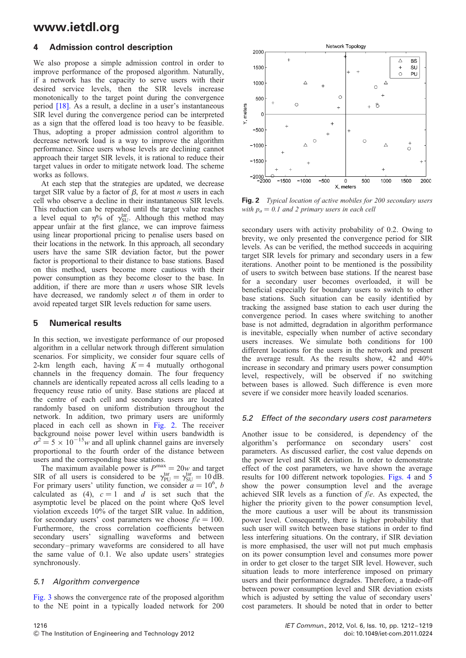# 4 Admission control description

We also propose a simple admission control in order to improve performance of the proposed algorithm. Naturally, if a network has the capacity to serve users with their desired service levels, then the SIR levels increase monotonically to the target point during the convergence period [18]. As a result, a decline in a user's instantaneous SIR level during the convergence period can be interpreted as a sign that the offered load is too heavy to be feasible. Thus, adopting a proper admission control algorithm to decrease network load is a way to improve the algorithm performance. Since users whose levels are declining cannot approach their target SIR levels, it is rational to reduce their target values in order to mitigate network load. The scheme works as follows.

At each step that the strategies are updated, we decrease target SIR value by a factor of  $\beta$ , for at most *n* users in each cell who observe a decline in their instantaneous SIR levels. This reduction can be repeated until the target value reaches a level equal to  $\eta$ % of  $\gamma_{\text{SU}}^{\text{tar}}$ . Although this method may appear unfair at the first glance, we can improve fairness using linear proportional pricing to penalise users based on their locations in the network. In this approach, all secondary users have the same SIR deviation factor, but the power factor is proportional to their distance to base stations. Based on this method, users become more cautious with their power consumption as they become closer to the base. In addition, if there are more than  $n$  users whose SIR levels have decreased, we randomly select  $n$  of them in order to avoid repeated target SIR levels reduction for same users.

### 5 Numerical results

In this section, we investigate performance of our proposed algorithm in a cellular network through different simulation scenarios. For simplicity, we consider four square cells of 2-km length each, having  $K = 4$  mutually orthogonal channels in the frequency domain. The four frequency channels are identically repeated across all cells leading to a frequency reuse ratio of unity. Base stations are placed at the centre of each cell and secondary users are located randomly based on uniform distribution throughout the network. In addition, two primary users are uniformly placed in each cell as shown in Fig. 2. The receiver background noise power level within users bandwidth is  $\sigma^2 = 5 \times 10^{-15}$ w and all uplink channel gains are inversely proportional to the fourth order of the distance between users and the corresponding base stations.

The maximum available power is  $P^{\text{max}} = 20w$  and target SIR of all users is considered to be  $\gamma_{\text{PU}}^{\text{tar}} = \gamma_{\text{SU}}^{\text{tar}} = 10 \text{ dB}.$ For primary users' utility function, we consider  $a = 10^6$ , b calculated as (4),  $c = 1$  and d is set such that the asymptotic level be placed on the point where QoS level violation exceeds 10% of the target SIR value. In addition, for secondary users' cost parameters we choose  $f/e = 100$ . Furthermore, the cross correlation coefficients between secondary users' signalling waveforms and between secondary-primary waveforms are considered to all have the same value of 0.1. We also update users' strategies synchronously.

### 5.1 Algorithm convergence

Fig. 3 shows the convergence rate of the proposed algorithm to the NE point in a typically loaded network for 200



Fig. 2 Typical location of active mobiles for 200 secondary users with  $p_a = 0.1$  and 2 primary users in each cell

secondary users with activity probability of 0.2. Owing to brevity, we only presented the convergence period for SIR levels. As can be verified, the method succeeds in acquiring target SIR levels for primary and secondary users in a few iterations. Another point to be mentioned is the possibility of users to switch between base stations. If the nearest base for a secondary user becomes overloaded, it will be beneficial especially for boundary users to switch to other base stations. Such situation can be easily identified by tracking the assigned base station to each user during the convergence period. In cases where switching to another base is not admitted, degradation in algorithm performance is inevitable, especially when number of active secondary users increases. We simulate both conditions for 100 different locations for the users in the network and present the average result. As the results show, 42 and 40% increase in secondary and primary users power consumption level, respectively, will be observed if no switching between bases is allowed. Such difference is even more severe if we consider more heavily loaded scenarios.

### 5.2 Effect of the secondary users cost parameters

Another issue to be considered, is dependency of the algorithm's performance on secondary users' cost parameters. As discussed earlier, the cost value depends on the power level and SIR deviation. In order to demonstrate effect of the cost parameters, we have shown the average results for 100 different network topologies. Figs. 4 and 5 show the power consumption level and the average achieved SIR levels as a function of f/e. As expected, the higher the priority given to the power consumption level, the more cautious a user will be about its transmission power level. Consequently, there is higher probability that such user will switch between base stations in order to find less interfering situations. On the contrary, if SIR deviation is more emphasised, the user will not put much emphasis on its power consumption level and consumes more power in order to get closer to the target SIR level. However, such situation leads to more interference imposed on primary users and their performance degrades. Therefore, a trade-off between power consumption level and SIR deviation exists which is adjusted by setting the value of secondary users' cost parameters. It should be noted that in order to better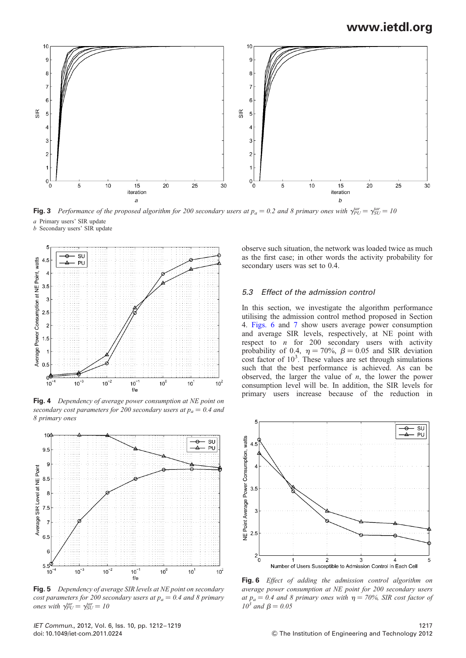

**Fig. 3** Performance of the proposed algorithm for 200 secondary users at  $p_a = 0.2$  and 8 primary ones with  $\gamma_{PU}^{tar} = \gamma_{SU}^{tar} = 10$ a Primary users' SIR update

b Secondary users' SIR update



Fig. 4 Dependency of average power consumption at NE point on secondary cost parameters for 200 secondary users at  $p_a = 0.4$  and 8 primary ones



Fig. 5 Dependency of average SIR levels at NE point on secondary cost parameters for 200 secondary users at  $p_a = 0.4$  and 8 primary ones with  $\gamma_{PU}^{tar} = \gamma_{SU}^{tar} = 10$ 

observe such situation, the network was loaded twice as much as the first case; in other words the activity probability for secondary users was set to 0.4.

#### 5.3 Effect of the admission control

In this section, we investigate the algorithm performance utilising the admission control method proposed in Section 4. Figs. 6 and 7 show users average power consumption and average SIR levels, respectively, at NE point with respect to  $n$  for 200 secondary users with activity probability of 0.4,  $\eta = 70\%$ ,  $\beta = 0.05$  and SIR deviation  $\frac{1}{\cosh x}$  cost factor of  $10^3$ . These values are set through simulations such that the best performance is achieved. As can be observed, the larger the value of  $n$ , the lower the power consumption level will be. In addition, the SIR levels for primary users increase because of the reduction in



Fig. 6 Effect of adding the admission control algorithm on average power consumption at NE point for 200 secondary users at  $p_a = 0.4$  and 8 primary ones with  $\eta = 70\%$ , SIR cost factor of  $10^3$  and  $\beta = 0.05$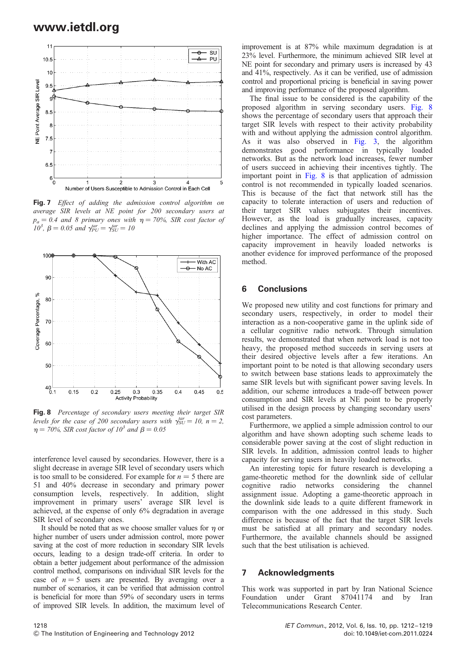

Fig. 7 Effect of adding the admission control algorithm on average SIR levels at NE point for 200 secondary users at  $p_a = 0.4$  and 8 primary ones with  $\eta = 70\%$ , SIR cost factor of  $10^3$ ,  $\beta = 0.05$  and  $\gamma_{PU}^{tar} = \gamma_{SU}^{tar} = 10$ 



Fig. 8 Percentage of secondary users meeting their target SIR levels for the case of 200 secondary users with  $\gamma_{SU}^{tar} = 10$ ,  $n = 2$ ,  $\eta = 70\%$ , SIR cost factor of  $10^3$  and  $\beta = 0.05$ 

interference level caused by secondaries. However, there is a slight decrease in average SIR level of secondary users which is too small to be considered. For example for  $n = 5$  there are 51 and 40% decrease in secondary and primary power consumption levels, respectively. In addition, slight improvement in primary users' average SIR level is achieved, at the expense of only 6% degradation in average SIR level of secondary ones.

It should be noted that as we choose smaller values for  $\eta$  or higher number of users under admission control, more power saving at the cost of more reduction in secondary SIR levels occurs, leading to a design trade-off criteria. In order to obtain a better judgement about performance of the admission control method, comparisons on individual SIR levels for the case of  $n = 5$  users are presented. By averaging over a number of scenarios, it can be verified that admission control is beneficial for more than 59% of secondary users in terms of improved SIR levels. In addition, the maximum level of

improvement is at 87% while maximum degradation is at 23% level. Furthermore, the minimum achieved SIR level at NE point for secondary and primary users is increased by 43 and 41%, respectively. As it can be verified, use of admission control and proportional pricing is beneficial in saving power and improving performance of the proposed algorithm.

The final issue to be considered is the capability of the proposed algorithm in serving secondary users. Fig. 8 shows the percentage of secondary users that approach their target SIR levels with respect to their activity probability with and without applying the admission control algorithm. As it was also observed in Fig. 3, the algorithm demonstrates good performance in typically loaded networks. But as the network load increases, fewer number of users succeed in achieving their incentives tightly. The important point in Fig. 8 is that application of admission control is not recommended in typically loaded scenarios. This is because of the fact that network still has the capacity to tolerate interaction of users and reduction of their target SIR values subjugates their incentives. However, as the load is gradually increases, capacity declines and applying the admission control becomes of higher importance. The effect of admission control on capacity improvement in heavily loaded networks is another evidence for improved performance of the proposed method.

### 6 Conclusions

We proposed new utility and cost functions for primary and secondary users, respectively, in order to model their interaction as a non-cooperative game in the uplink side of a cellular cognitive radio network. Through simulation results, we demonstrated that when network load is not too heavy, the proposed method succeeds in serving users at their desired objective levels after a few iterations. An important point to be noted is that allowing secondary users to switch between base stations leads to approximately the same SIR levels but with significant power saving levels. In addition, our scheme introduces a trade-off between power consumption and SIR levels at NE point to be properly utilised in the design process by changing secondary users' cost parameters.

Furthermore, we applied a simple admission control to our algorithm and have shown adopting such scheme leads to considerable power saving at the cost of slight reduction in SIR levels. In addition, admission control leads to higher capacity for serving users in heavily loaded networks.

An interesting topic for future research is developing a game-theoretic method for the downlink side of cellular cognitive radio networks considering the channel assignment issue. Adopting a game-theoretic approach in the downlink side leads to a quite different framework in comparison with the one addressed in this study. Such difference is because of the fact that the target SIR levels must be satisfied at all primary and secondary nodes. Furthermore, the available channels should be assigned such that the best utilisation is achieved.

### 7 Acknowledgments

This work was supported in part by Iran National Science Foundation under Grant 87041174 and by Iran Telecommunications Research Center.